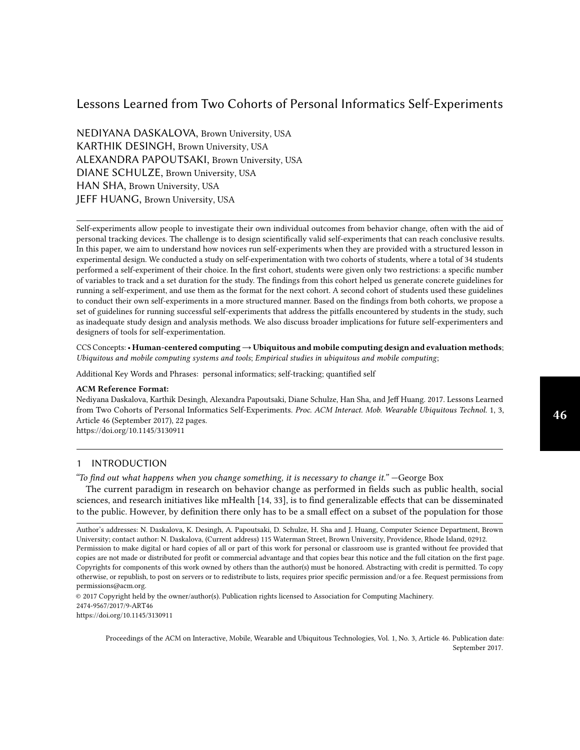# Lessons Learned from Two Cohorts of Personal Informatics Self-Experiments

NEDIYANA DASKALOVA, Brown University, USA KARTHIK DESINGH, Brown University, USA ALEXANDRA PAPOUTSAKI, Brown University, USA DIANE SCHULZE, Brown University, USA HAN SHA, Brown University, USA JEFF HUANG, Brown University, USA

Self-experiments allow people to investigate their own individual outcomes from behavior change, often with the aid of personal tracking devices. The challenge is to design scientifically valid self-experiments that can reach conclusive results. In this paper, we aim to understand how novices run self-experiments when they are provided with a structured lesson in experimental design. We conducted a study on self-experimentation with two cohorts of students, where a total of 34 students performed a self-experiment of their choice. In the first cohort, students were given only two restrictions: a specific number of variables to track and a set duration for the study. The findings from this cohort helped us generate concrete guidelines for running a self-experiment, and use them as the format for the next cohort. A second cohort of students used these guidelines to conduct their own self-experiments in a more structured manner. Based on the findings from both cohorts, we propose a set of guidelines for running successful self-experiments that address the pitfalls encountered by students in the study, such as inadequate study design and analysis methods. We also discuss broader implications for future self-experimenters and designers of tools for self-experimentation.

CCS Concepts: • Human-centered computing  $\rightarrow$  Ubiquitous and mobile computing design and evaluation methods; Ubiquitous and mobile computing systems and tools; Empirical studies in ubiquitous and mobile computing;

Additional Key Words and Phrases: personal informatics; self-tracking; quantified self

#### ACM Reference Format:

Nediyana Daskalova, Karthik Desingh, Alexandra Papoutsaki, Diane Schulze, Han Sha, and Jeff Huang. 2017. Lessons Learned from Two Cohorts of Personal Informatics Self-Experiments. Proc. ACM Interact. Mob. Wearable Ubiquitous Technol. 1, 3, Article 46 (September 2017), [22](#page-21-0) pages.

<https://doi.org/10.1145/3130911>

## 1 INTRODUCTION

"To find out what happens when you change something, it is necessary to change it." —George Box

The current paradigm in research on behavior change as performed in fields such as public health, social sciences, and research initiatives like mHealth [\[14,](#page-20-0) [33\]](#page-21-1), is to find generalizable effects that can be disseminated to the public. However, by definition there only has to be a small effect on a subset of the population for those

© 2017 Copyright held by the owner/author(s). Publication rights licensed to Association for Computing Machinery. 2474-9567/2017/9-ART46 <https://doi.org/10.1145/3130911>

Author's addresses: N. Daskalova, K. Desingh, A. Papoutsaki, D. Schulze, H. Sha and J. Huang, Computer Science Department, Brown University; contact author: N. Daskalova, (Current address) 115 Waterman Street, Brown University, Providence, Rhode Island, 02912. Permission to make digital or hard copies of all or part of this work for personal or classroom use is granted without fee provided that copies are not made or distributed for profit or commercial advantage and that copies bear this notice and the full citation on the first page. Copyrights for components of this work owned by others than the author(s) must be honored. Abstracting with credit is permitted. To copy otherwise, or republish, to post on servers or to redistribute to lists, requires prior specific permission and/or a fee. Request permissions from permissions@acm.org.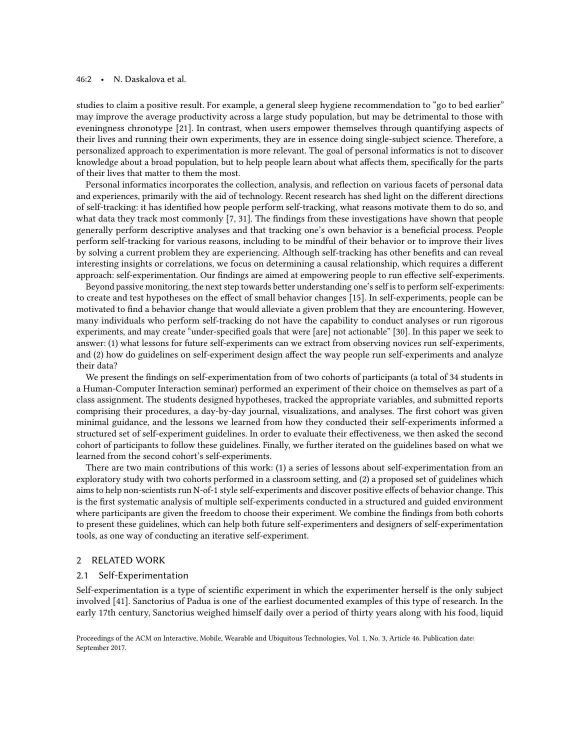#### 46:2 • N. Daskalova et al.

studies to claim a positive result. For example, a general sleep hygiene recommendation to "go to bed earlier" may improve the average productivity across a large study population, but may be detrimental to those with eveningness chronotype [\[21\]](#page-20-1). In contrast, when users empower themselves through quantifying aspects of their lives and running their own experiments, they are in essence doing single-subject science. Therefore, a personalized approach to experimentation is more relevant. The goal of personal informatics is not to discover knowledge about a broad population, but to help people learn about what affects them, specifically for the parts of their lives that matter to them the most.

Personal informatics incorporates the collection, analysis, and reflection on various facets of personal data and experiences, primarily with the aid of technology. Recent research has shed light on the different directions of self-tracking: it has identified how people perform self-tracking, what reasons motivate them to do so, and what data they track most commonly [\[7,](#page-20-2) [31\]](#page-21-2). The findings from these investigations have shown that people generally perform descriptive analyses and that tracking one's own behavior is a beneficial process. People perform self-tracking for various reasons, including to be mindful of their behavior or to improve their lives by solving a current problem they are experiencing. Although self-tracking has other benefits and can reveal interesting insights or correlations, we focus on determining a causal relationship, which requires a different approach: self-experimentation. Our findings are aimed at empowering people to run effective self-experiments.

Beyond passive monitoring, the next step towards better understanding one's self is to perform self-experiments: to create and test hypotheses on the effect of small behavior changes [\[15\]](#page-20-3). In self-experiments, people can be motivated to find a behavior change that would alleviate a given problem that they are encountering. However, many individuals who perform self-tracking do not have the capability to conduct analyses or run rigorous experiments, and may create "under-specified goals that were [are] not actionable" [\[30\]](#page-21-3). In this paper we seek to answer: (1) what lessons for future self-experiments can we extract from observing novices run self-experiments, and (2) how do guidelines on self-experiment design affect the way people run self-experiments and analyze their data?

We present the findings on self-experimentation from of two cohorts of participants (a total of 34 students in a Human-Computer Interaction seminar) performed an experiment of their choice on themselves as part of a class assignment. The students designed hypotheses, tracked the appropriate variables, and submitted reports comprising their procedures, a day-by-day journal, visualizations, and analyses. The first cohort was given minimal guidance, and the lessons we learned from how they conducted their self-experiments informed a structured set of self-experiment guidelines. In order to evaluate their effectiveness, we then asked the second cohort of participants to follow these guidelines. Finally, we further iterated on the guidelines based on what we learned from the second cohort's self-experiments.

There are two main contributions of this work: (1) a series of lessons about self-experimentation from an exploratory study with two cohorts performed in a classroom setting, and (2) a proposed set of guidelines which aims to help non-scientists run N-of-1 style self-experiments and discover positive effects of behavior change. This is the first systematic analysis of multiple self-experiments conducted in a structured and guided environment where participants are given the freedom to choose their experiment. We combine the findings from both cohorts to present these guidelines, which can help both future self-experimenters and designers of self-experimentation tools, as one way of conducting an iterative self-experiment.

## 2 RELATED WORK

#### 2.1 Self-Experimentation

Self-experimentation is a type of scientific experiment in which the experimenter herself is the only subject involved [\[41\]](#page-21-4). Sanctorius of Padua is one of the earliest documented examples of this type of research. In the early 17th century, Sanctorius weighed himself daily over a period of thirty years along with his food, liquid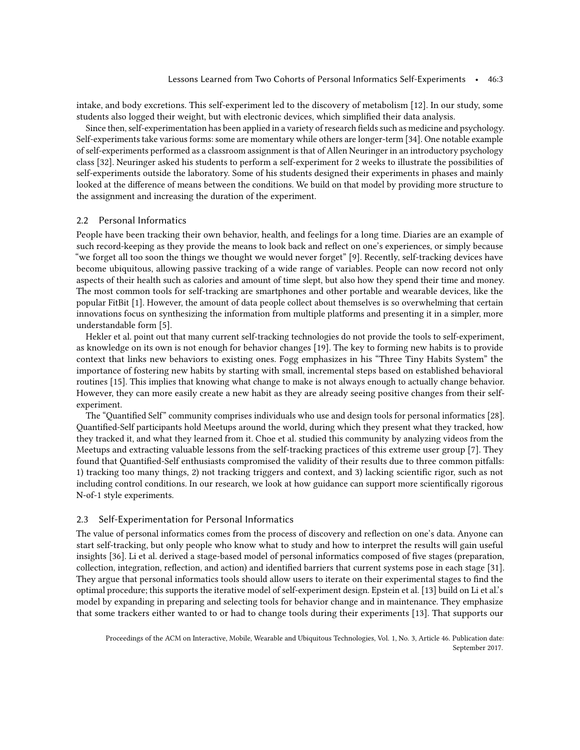intake, and body excretions. This self-experiment led to the discovery of metabolism [\[12\]](#page-20-4). In our study, some students also logged their weight, but with electronic devices, which simplified their data analysis.

Since then, self-experimentation has been applied in a variety of research fields such as medicine and psychology. Self-experiments take various forms: some are momentary while others are longer-term [\[34\]](#page-21-5). One notable example of self-experiments performed as a classroom assignment is that of Allen Neuringer in an introductory psychology class [\[32\]](#page-21-6). Neuringer asked his students to perform a self-experiment for 2 weeks to illustrate the possibilities of self-experiments outside the laboratory. Some of his students designed their experiments in phases and mainly looked at the difference of means between the conditions. We build on that model by providing more structure to the assignment and increasing the duration of the experiment.

#### 2.2 Personal Informatics

People have been tracking their own behavior, health, and feelings for a long time. Diaries are an example of such record-keeping as they provide the means to look back and reflect on one's experiences, or simply because "we forget all too soon the things we thought we would never forget" [\[9\]](#page-20-5). Recently, self-tracking devices have become ubiquitous, allowing passive tracking of a wide range of variables. People can now record not only aspects of their health such as calories and amount of time slept, but also how they spend their time and money. The most common tools for self-tracking are smartphones and other portable and wearable devices, like the popular FitBit [\[1\]](#page-20-6). However, the amount of data people collect about themselves is so overwhelming that certain innovations focus on synthesizing the information from multiple platforms and presenting it in a simpler, more understandable form [\[5\]](#page-20-7).

Hekler et al. point out that many current self-tracking technologies do not provide the tools to self-experiment, as knowledge on its own is not enough for behavior changes [\[19\]](#page-20-8). The key to forming new habits is to provide context that links new behaviors to existing ones. Fogg emphasizes in his "Three Tiny Habits System" the importance of fostering new habits by starting with small, incremental steps based on established behavioral routines [\[15\]](#page-20-3). This implies that knowing what change to make is not always enough to actually change behavior. However, they can more easily create a new habit as they are already seeing positive changes from their selfexperiment.

The "Quantified Self" community comprises individuals who use and design tools for personal informatics [\[28\]](#page-21-7). Quantified-Self participants hold Meetups around the world, during which they present what they tracked, how they tracked it, and what they learned from it. Choe et al. studied this community by analyzing videos from the Meetups and extracting valuable lessons from the self-tracking practices of this extreme user group [\[7\]](#page-20-2). They found that Quantified-Self enthusiasts compromised the validity of their results due to three common pitfalls: 1) tracking too many things, 2) not tracking triggers and context, and 3) lacking scientific rigor, such as not including control conditions. In our research, we look at how guidance can support more scientifically rigorous N-of-1 style experiments.

#### 2.3 Self-Experimentation for Personal Informatics

The value of personal informatics comes from the process of discovery and reflection on one's data. Anyone can start self-tracking, but only people who know what to study and how to interpret the results will gain useful insights [\[36\]](#page-21-8). Li et al. derived a stage-based model of personal informatics composed of five stages (preparation, collection, integration, reflection, and action) and identified barriers that current systems pose in each stage [\[31\]](#page-21-2). They argue that personal informatics tools should allow users to iterate on their experimental stages to find the optimal procedure; this supports the iterative model of self-experiment design. Epstein et al. [\[13\]](#page-20-9) build on Li et al.'s model by expanding in preparing and selecting tools for behavior change and in maintenance. They emphasize that some trackers either wanted to or had to change tools during their experiments [\[13\]](#page-20-9). That supports our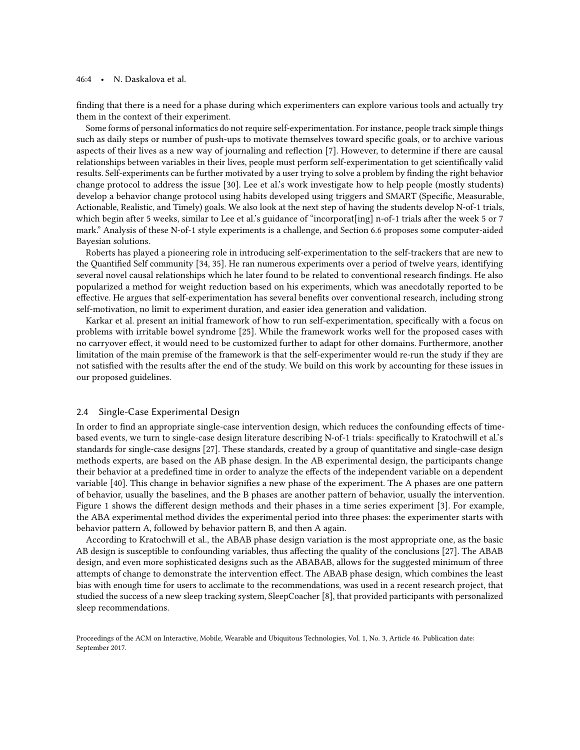#### 46:4 • N. Daskalova et al.

finding that there is a need for a phase during which experimenters can explore various tools and actually try them in the context of their experiment.

Some forms of personal informatics do not require self-experimentation. For instance, people track simple things such as daily steps or number of push-ups to motivate themselves toward specific goals, or to archive various aspects of their lives as a new way of journaling and reflection [\[7\]](#page-20-2). However, to determine if there are causal relationships between variables in their lives, people must perform self-experimentation to get scientifically valid results. Self-experiments can be further motivated by a user trying to solve a problem by finding the right behavior change protocol to address the issue [\[30\]](#page-21-3). Lee et al.'s work investigate how to help people (mostly students) develop a behavior change protocol using habits developed using triggers and SMART (Specific, Measurable, Actionable, Realistic, and Timely) goals. We also look at the next step of having the students develop N-of-1 trials, which begin after 5 weeks, similar to Lee et al.'s guidance of "incorporat[ing] n-of-1 trials after the week 5 or 7 mark." Analysis of these N-of-1 style experiments is a challenge, and Section [6.6](#page-14-0) proposes some computer-aided Bayesian solutions.

Roberts has played a pioneering role in introducing self-experimentation to the self-trackers that are new to the Quantified Self community [\[34,](#page-21-5) [35\]](#page-21-9). He ran numerous experiments over a period of twelve years, identifying several novel causal relationships which he later found to be related to conventional research findings. He also popularized a method for weight reduction based on his experiments, which was anecdotally reported to be effective. He argues that self-experimentation has several benefits over conventional research, including strong self-motivation, no limit to experiment duration, and easier idea generation and validation.

Karkar et al. present an initial framework of how to run self-experimentation, specifically with a focus on problems with irritable bowel syndrome [\[25\]](#page-20-10). While the framework works well for the proposed cases with no carryover effect, it would need to be customized further to adapt for other domains. Furthermore, another limitation of the main premise of the framework is that the self-experimenter would re-run the study if they are not satisfied with the results after the end of the study. We build on this work by accounting for these issues in our proposed guidelines.

#### 2.4 Single-Case Experimental Design

In order to find an appropriate single-case intervention design, which reduces the confounding effects of timebased events, we turn to single-case design literature describing N-of-1 trials: specifically to Kratochwill et al.'s standards for single-case designs [\[27\]](#page-21-10). These standards, created by a group of quantitative and single-case design methods experts, are based on the AB phase design. In the AB experimental design, the participants change their behavior at a predefined time in order to analyze the effects of the independent variable on a dependent variable [\[40\]](#page-21-11). This change in behavior signifies a new phase of the experiment. The A phases are one pattern of behavior, usually the baselines, and the B phases are another pattern of behavior, usually the intervention. Figure [1](#page-4-0) shows the different design methods and their phases in a time series experiment [\[3\]](#page-20-11). For example, the ABA experimental method divides the experimental period into three phases: the experimenter starts with behavior pattern A, followed by behavior pattern B, and then A again.

According to Kratochwill et al., the ABAB phase design variation is the most appropriate one, as the basic AB design is susceptible to confounding variables, thus affecting the quality of the conclusions [\[27\]](#page-21-10). The ABAB design, and even more sophisticated designs such as the ABABAB, allows for the suggested minimum of three attempts of change to demonstrate the intervention effect. The ABAB phase design, which combines the least bias with enough time for users to acclimate to the recommendations, was used in a recent research project, that studied the success of a new sleep tracking system, SleepCoacher [\[8\]](#page-20-12), that provided participants with personalized sleep recommendations.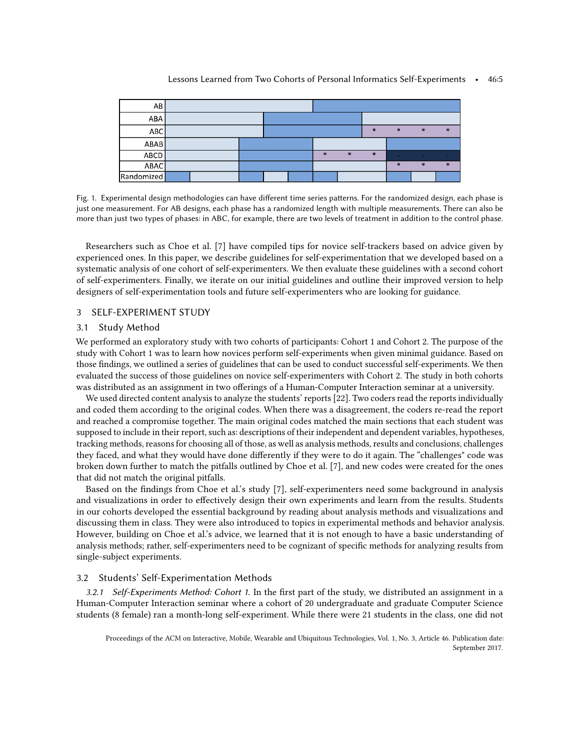<span id="page-4-0"></span>

| AB         |  |  |     |        |        |              |     |
|------------|--|--|-----|--------|--------|--------------|-----|
| <b>ABA</b> |  |  |     |        |        |              |     |
| ABC        |  |  |     |        | 小      | $\mathbf{A}$ | $*$ |
| ABAB       |  |  |     |        |        |              |     |
| ABCD       |  |  | $*$ | $\ast$ | $\ast$ |              |     |
| ABAC       |  |  |     |        |        | 水            | *   |
| Randomized |  |  |     |        |        |              |     |

Lessons Learned from Two Cohorts of Personal Informatics Self-Experiments • 46:5

Fig. 1. Experimental design methodologies can have different time series patterns. For the randomized design, each phase is just one measurement. For AB designs, each phase has a randomized length with multiple measurements. There can also be more than just two types of phases: in ABC, for example, there are two levels of treatment in addition to the control phase.

Researchers such as Choe et al. [\[7\]](#page-20-2) have compiled tips for novice self-trackers based on advice given by experienced ones. In this paper, we describe guidelines for self-experimentation that we developed based on a systematic analysis of one cohort of self-experimenters. We then evaluate these guidelines with a second cohort of self-experimenters. Finally, we iterate on our initial guidelines and outline their improved version to help designers of self-experimentation tools and future self-experimenters who are looking for guidance.

## 3 SELF-EXPERIMENT STUDY

## 3.1 Study Method

We performed an exploratory study with two cohorts of participants: Cohort 1 and Cohort 2. The purpose of the study with Cohort 1 was to learn how novices perform self-experiments when given minimal guidance. Based on those findings, we outlined a series of guidelines that can be used to conduct successful self-experiments. We then evaluated the success of those guidelines on novice self-experimenters with Cohort 2. The study in both cohorts was distributed as an assignment in two offerings of a Human-Computer Interaction seminar at a university.

We used directed content analysis to analyze the students' reports [\[22\]](#page-20-13). Two coders read the reports individually and coded them according to the original codes. When there was a disagreement, the coders re-read the report and reached a compromise together. The main original codes matched the main sections that each student was supposed to include in their report, such as: descriptions of their independent and dependent variables, hypotheses, tracking methods, reasons for choosing all of those, as well as analysis methods, results and conclusions, challenges they faced, and what they would have done differently if they were to do it again. The "challenges" code was broken down further to match the pitfalls outlined by Choe et al. [\[7\]](#page-20-2), and new codes were created for the ones that did not match the original pitfalls.

Based on the findings from Choe et al.'s study [\[7\]](#page-20-2), self-experimenters need some background in analysis and visualizations in order to effectively design their own experiments and learn from the results. Students in our cohorts developed the essential background by reading about analysis methods and visualizations and discussing them in class. They were also introduced to topics in experimental methods and behavior analysis. However, building on Choe et al.'s advice, we learned that it is not enough to have a basic understanding of analysis methods; rather, self-experimenters need to be cognizant of specific methods for analyzing results from single-subject experiments.

#### 3.2 Students' Self-Experimentation Methods

3.2.1 Self-Experiments Method: Cohort 1. In the first part of the study, we distributed an assignment in a Human-Computer Interaction seminar where a cohort of 20 undergraduate and graduate Computer Science students (8 female) ran a month-long self-experiment. While there were 21 students in the class, one did not

Proceedings of the ACM on Interactive, Mobile, Wearable and Ubiquitous Technologies, Vol. 1, No. 3, Article 46. Publication date: September 2017.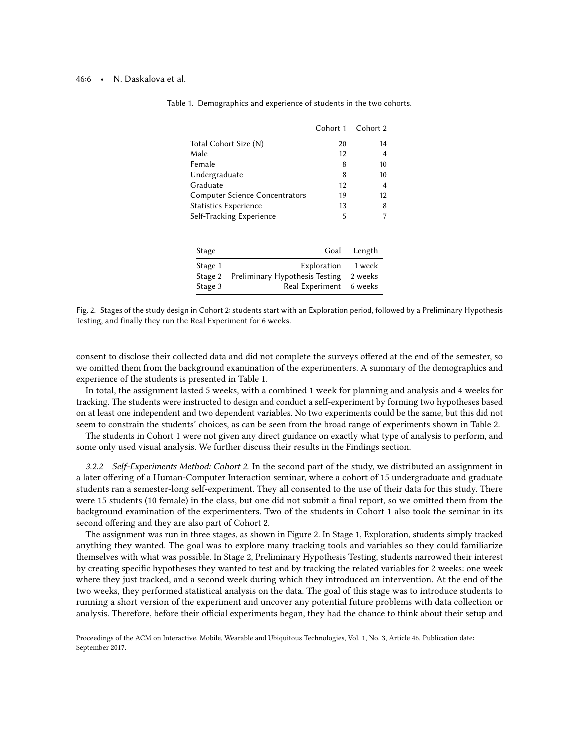#### <span id="page-5-0"></span>46:6 • N. Daskalova et al.

|                                       |    | Cohort 1 Cohort 2 |
|---------------------------------------|----|-------------------|
| Total Cohort Size (N)                 | 20 | 14                |
| Male                                  | 12 | $\overline{4}$    |
| Female                                | 8  | 10                |
| Undergraduate                         | 8  | 10                |
| Graduate                              | 12 | 4                 |
| <b>Computer Science Concentrators</b> | 19 | 12                |
| <b>Statistics Experience</b>          | 13 | 8                 |
| Self-Tracking Experience              | 5  |                   |

| Table 1. Demographics and experience of students in the two cohorts. |  |  |  |  |  |
|----------------------------------------------------------------------|--|--|--|--|--|
|                                                                      |  |  |  |  |  |

| Stage                         |                                                                                 | Goal Length |
|-------------------------------|---------------------------------------------------------------------------------|-------------|
| Stage 1<br>Stage 2<br>Stage 3 | Exploration 1 week<br>Preliminary Hypothesis Testing<br>Real Experiment 6 weeks | 2 weeks     |

<span id="page-5-1"></span>Fig. 2. Stages of the study design in Cohort 2: students start with an Exploration period, followed by a Preliminary Hypothesis Testing, and finally they run the Real Experiment for 6 weeks.

consent to disclose their collected data and did not complete the surveys offered at the end of the semester, so we omitted them from the background examination of the experimenters. A summary of the demographics and experience of the students is presented in Table [1.](#page-5-0)

In total, the assignment lasted 5 weeks, with a combined 1 week for planning and analysis and 4 weeks for tracking. The students were instructed to design and conduct a self-experiment by forming two hypotheses based on at least one independent and two dependent variables. No two experiments could be the same, but this did not seem to constrain the students' choices, as can be seen from the broad range of experiments shown in Table [2.](#page-7-0)

The students in Cohort 1 were not given any direct guidance on exactly what type of analysis to perform, and some only used visual analysis. We further discuss their results in the Findings section.

3.2.2 Self-Experiments Method: Cohort 2. In the second part of the study, we distributed an assignment in a later offering of a Human-Computer Interaction seminar, where a cohort of 15 undergraduate and graduate students ran a semester-long self-experiment. They all consented to the use of their data for this study. There were 15 students (10 female) in the class, but one did not submit a final report, so we omitted them from the background examination of the experimenters. Two of the students in Cohort 1 also took the seminar in its second offering and they are also part of Cohort 2.

The assignment was run in three stages, as shown in Figure [2.](#page-5-1) In Stage 1, Exploration, students simply tracked anything they wanted. The goal was to explore many tracking tools and variables so they could familiarize themselves with what was possible. In Stage 2, Preliminary Hypothesis Testing, students narrowed their interest by creating specific hypotheses they wanted to test and by tracking the related variables for 2 weeks: one week where they just tracked, and a second week during which they introduced an intervention. At the end of the two weeks, they performed statistical analysis on the data. The goal of this stage was to introduce students to running a short version of the experiment and uncover any potential future problems with data collection or analysis. Therefore, before their official experiments began, they had the chance to think about their setup and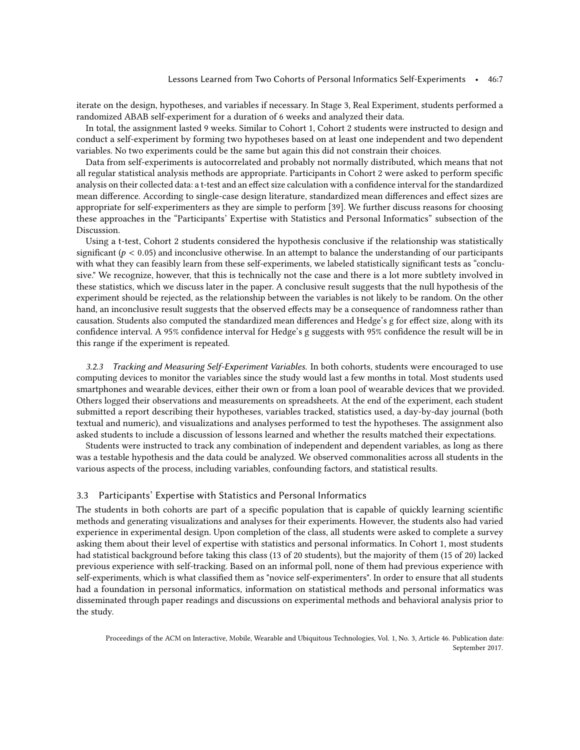iterate on the design, hypotheses, and variables if necessary. In Stage 3, Real Experiment, students performed a randomized ABAB self-experiment for a duration of 6 weeks and analyzed their data.

In total, the assignment lasted 9 weeks. Similar to Cohort 1, Cohort 2 students were instructed to design and conduct a self-experiment by forming two hypotheses based on at least one independent and two dependent variables. No two experiments could be the same but again this did not constrain their choices.

Data from self-experiments is autocorrelated and probably not normally distributed, which means that not all regular statistical analysis methods are appropriate. Participants in Cohort 2 were asked to perform specific analysis on their collected data: a t-test and an effect size calculation with a confidence interval for the standardized mean difference. According to single-case design literature, standardized mean differences and effect sizes are appropriate for self-experimenters as they are simple to perform [\[39\]](#page-21-12). We further discuss reasons for choosing these approaches in the "Participants' Expertise with Statistics and Personal Informatics" subsection of the Discussion.

Using a t-test, Cohort 2 students considered the hypothesis conclusive if the relationship was statistically significant ( $p < 0.05$ ) and inconclusive otherwise. In an attempt to balance the understanding of our participants with what they can feasibly learn from these self-experiments, we labeled statistically significant tests as "conclusive." We recognize, however, that this is technically not the case and there is a lot more subtlety involved in these statistics, which we discuss later in the paper. A conclusive result suggests that the null hypothesis of the experiment should be rejected, as the relationship between the variables is not likely to be random. On the other hand, an inconclusive result suggests that the observed effects may be a consequence of randomness rather than causation. Students also computed the standardized mean differences and Hedge's g for effect size, along with its confidence interval. A 95% confidence interval for Hedge's g suggests with 95% confidence the result will be in this range if the experiment is repeated.

3.2.3 Tracking and Measuring Self-Experiment Variables. In both cohorts, students were encouraged to use computing devices to monitor the variables since the study would last a few months in total. Most students used smartphones and wearable devices, either their own or from a loan pool of wearable devices that we provided. Others logged their observations and measurements on spreadsheets. At the end of the experiment, each student submitted a report describing their hypotheses, variables tracked, statistics used, a day-by-day journal (both textual and numeric), and visualizations and analyses performed to test the hypotheses. The assignment also asked students to include a discussion of lessons learned and whether the results matched their expectations.

Students were instructed to track any combination of independent and dependent variables, as long as there was a testable hypothesis and the data could be analyzed. We observed commonalities across all students in the various aspects of the process, including variables, confounding factors, and statistical results.

#### 3.3 Participants' Expertise with Statistics and Personal Informatics

The students in both cohorts are part of a specific population that is capable of quickly learning scientific methods and generating visualizations and analyses for their experiments. However, the students also had varied experience in experimental design. Upon completion of the class, all students were asked to complete a survey asking them about their level of expertise with statistics and personal informatics. In Cohort 1, most students had statistical background before taking this class (13 of 20 students), but the majority of them (15 of 20) lacked previous experience with self-tracking. Based on an informal poll, none of them had previous experience with self-experiments, which is what classified them as "novice self-experimenters". In order to ensure that all students had a foundation in personal informatics, information on statistical methods and personal informatics was disseminated through paper readings and discussions on experimental methods and behavioral analysis prior to the study.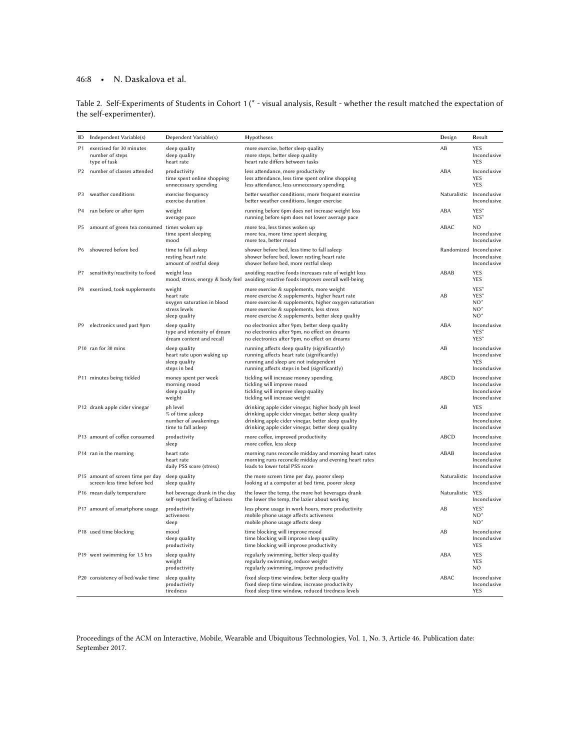## 46:8 • N. Daskalova et al.

<span id="page-7-0"></span>

| Table 2. Self-Experiments of Students in Cohort 1 (* - visual analysis, Result - whether the result matched the expectation of |  |  |  |  |  |
|--------------------------------------------------------------------------------------------------------------------------------|--|--|--|--|--|
| the self-experimenter).                                                                                                        |  |  |  |  |  |

| ID             | Independent Variable(s)                                          | Dependent Variable(s)                                                                | Hypotheses                                                                                                                                                                                                                                           | Design           | Result                                                       |
|----------------|------------------------------------------------------------------|--------------------------------------------------------------------------------------|------------------------------------------------------------------------------------------------------------------------------------------------------------------------------------------------------------------------------------------------------|------------------|--------------------------------------------------------------|
| P <sub>1</sub> | exercised for 30 minutes<br>number of steps<br>type of task      | sleep quality<br>sleep quality<br>heart rate                                         | more exercise, better sleep quality<br>more steps, better sleep quality<br>heart rate differs between tasks                                                                                                                                          | AB               | <b>YES</b><br>Inconclusive<br><b>YES</b>                     |
| P <sub>2</sub> | number of classes attended                                       | productivity<br>time spent online shopping<br>unnecessary spending                   | less attendance, more productivity<br>less attendance, less time spent online shopping<br>less attendance, less unnecessary spending                                                                                                                 | ABA              | Inconclusive<br>YES<br><b>YES</b>                            |
| P <sub>3</sub> | weather conditions                                               | exercise frequency<br>exercise duration                                              | better weather conditions, more frequent exercise<br>better weather conditions, longer exercise                                                                                                                                                      |                  | Naturalistic Inconclusive<br>Inconclusive                    |
| P <sub>4</sub> | ran before or after 6pm                                          | weight<br>average pace                                                               | running before 6pm does not increase weight loss<br>running before 6pm does not lower average pace                                                                                                                                                   | ABA              | YES*<br>YES*                                                 |
| P5             | amount of green tea consumed times woken up                      | time spent sleeping<br>mood                                                          | more tea, less times woken up<br>more tea, more time spent sleeping<br>more tea, better mood                                                                                                                                                         | ABAC             | N <sub>O</sub><br>Inconclusive<br>Inconclusive               |
| <b>P6</b>      | showered before bed                                              | time to fall asleep<br>resting heart rate<br>amount of restful sleep                 | shower before bed, less time to fall asleep<br>shower before bed, lower resting heart rate<br>shower before bed, more restful sleep                                                                                                                  |                  | Randomized Inconclusive<br>Inconclusive<br>Inconclusive      |
| P7             | sensitivity/reactivity to food                                   | weight loss                                                                          | avoiding reactive foods increases rate of weight loss<br>mood, stress, energy & body feel avoiding reactive foods improves overall well-being                                                                                                        | ABAB             | YES<br>YES                                                   |
| P8             | exercised, took supplements                                      | weight<br>heart rate<br>oxygen saturation in blood<br>stress levels<br>sleep quality | more exercise & supplements, more weight<br>more exercise & supplements, higher heart rate<br>more exercise & supplements, higher oxygen saturation<br>more exercise & supplements, less stress<br>more exercise & supplements, better sleep quality | AB               | YES*<br>YES <sup>*</sup><br>$NO*$<br>$NO*$<br>$NO*$          |
| P <sub>9</sub> | electronics used past 9pm                                        | sleep quality<br>type and intensity of dream<br>dream content and recall             | no electronics after 9pm, better sleep quality<br>no electronics after 9pm, no effect on dreams<br>no electronics after 9pm, no effect on dreams                                                                                                     | ABA              | Inconclusive<br>YES*<br>YES*                                 |
|                | P10 ran for 30 mins                                              | sleep quality<br>heart rate upon waking up<br>sleep quality<br>steps in bed          | running affects sleep quality (significantly)<br>running affects heart rate (significantly)<br>running and sleep are not independent<br>running affects steps in bed (significantly)                                                                 | AB               | Inconclusive<br>Inconclusive<br>YES<br>Inconclusive          |
|                | P11 minutes being tickled                                        | money spent per week<br>morning mood<br>sleep quality<br>weight                      | tickling will increase money spending<br>tickling will improve mood<br>tickling will improve sleep quality<br>tickling will increase weight                                                                                                          | ABCD             | Inconclusive<br>Inconclusive<br>Inconclusive<br>Inconclusive |
|                | P12 drank apple cider vinegar                                    | ph level<br>% of time asleep<br>number of awakenings<br>time to fall asleep          | drinking apple cider vinegar, higher body ph level<br>drinking apple cider vinegar, better sleep quality<br>drinking apple cider vinegar, better sleep quality<br>drinking apple cider vinegar, better sleep quality                                 | AB               | <b>YES</b><br>Inconclusive<br>Inconclusive<br>Inconclusive   |
|                | P13 amount of coffee consumed                                    | productivity<br>sleep                                                                | more coffee, improved productivity<br>more coffee, less sleep                                                                                                                                                                                        | ABCD             | Inconclusive<br>Inconclusive                                 |
|                | P14 ran in the morning                                           | heart rate<br>heart rate<br>daily PSS score (stress)                                 | morning runs reconcile midday and morning heart rates<br>morning runs reconcile midday and evening heart rates<br>leads to lower total PSS score                                                                                                     | ABAB             | Inconclusive<br>Inconclusive<br>Inconclusive                 |
|                | P15 amount of screen time per day<br>screen-less time before bed | sleep quality<br>sleep quality                                                       | the more screen time per day, poorer sleep<br>looking at a computer at bed time, poorer sleep                                                                                                                                                        |                  | Naturalistic Inconclusive<br>Inconclusive                    |
|                | P16 mean daily temperature                                       | hot beverage drank in the day<br>self-report feeling of laziness                     | the lower the temp, the more hot beverages drank<br>the lower the temp, the lazier about working                                                                                                                                                     | Naturalistic YES | Inconclusive                                                 |
|                | P17 amount of smartphone usage                                   | productivity<br>activeness<br>sleep                                                  | less phone usage in work hours, more productivity<br>mobile phone usage affects activeness<br>mobile phone usage affects sleep                                                                                                                       | AB               | YES <sup>*</sup><br>$NO*$<br>$NO*$                           |
|                | P18 used time blocking                                           | mood<br>sleep quality<br>productivity                                                | time blocking will improve mood<br>time blocking will improve sleep quality<br>time blocking will improve productivity                                                                                                                               | AB               | Inconclusive<br>Inconclusive<br>YES                          |
|                | P19 went swimming for 1.5 hrs                                    | sleep quality<br>weight<br>productivity                                              | regularly swimming, better sleep quality<br>regularly swimming, reduce weight<br>regularly swimming, improve productivity                                                                                                                            | ABA              | YES<br><b>YES</b><br>NO                                      |
|                | P20 consistency of bed/wake time                                 | sleep quality<br>productivity<br>tiredness                                           | fixed sleep time window, better sleep quality<br>fixed sleep time window, increase productivity<br>fixed sleep time window, reduced tiredness levels                                                                                                 | ABAC             | Inconclusive<br>Inconclusive<br>YES                          |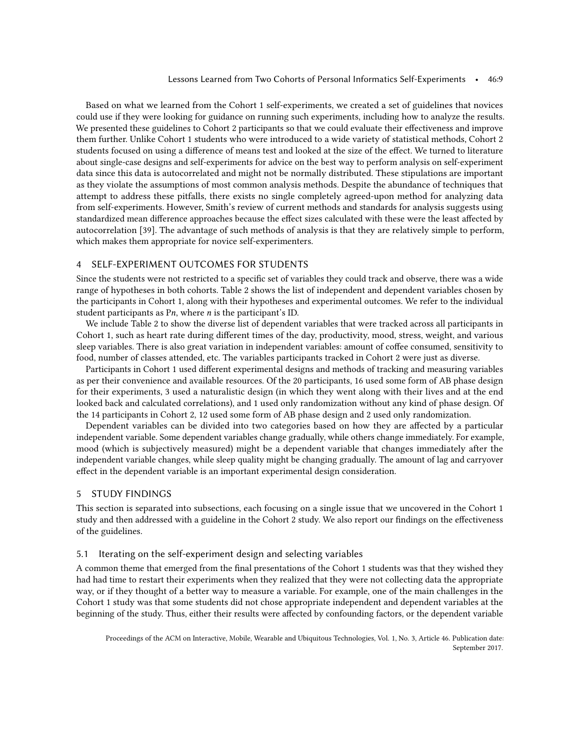Based on what we learned from the Cohort 1 self-experiments, we created a set of guidelines that novices could use if they were looking for guidance on running such experiments, including how to analyze the results. We presented these guidelines to Cohort 2 participants so that we could evaluate their effectiveness and improve them further. Unlike Cohort 1 students who were introduced to a wide variety of statistical methods, Cohort 2 students focused on using a difference of means test and looked at the size of the effect. We turned to literature about single-case designs and self-experiments for advice on the best way to perform analysis on self-experiment data since this data is autocorrelated and might not be normally distributed. These stipulations are important as they violate the assumptions of most common analysis methods. Despite the abundance of techniques that attempt to address these pitfalls, there exists no single completely agreed-upon method for analyzing data from self-experiments. However, Smith's review of current methods and standards for analysis suggests using standardized mean difference approaches because the effect sizes calculated with these were the least affected by autocorrelation [\[39\]](#page-21-12). The advantage of such methods of analysis is that they are relatively simple to perform, which makes them appropriate for novice self-experimenters.

## 4 SELF-EXPERIMENT OUTCOMES FOR STUDENTS

Since the students were not restricted to a specific set of variables they could track and observe, there was a wide range of hypotheses in both cohorts. Table [2](#page-7-0) shows the list of independent and dependent variables chosen by the participants in Cohort 1, along with their hypotheses and experimental outcomes. We refer to the individual student participants as  $Pn$ , where *n* is the participant's ID.

We include Table [2](#page-7-0) to show the diverse list of dependent variables that were tracked across all participants in Cohort 1, such as heart rate during different times of the day, productivity, mood, stress, weight, and various sleep variables. There is also great variation in independent variables: amount of coffee consumed, sensitivity to food, number of classes attended, etc. The variables participants tracked in Cohort 2 were just as diverse.

Participants in Cohort 1 used different experimental designs and methods of tracking and measuring variables as per their convenience and available resources. Of the 20 participants, 16 used some form of AB phase design for their experiments, 3 used a naturalistic design (in which they went along with their lives and at the end looked back and calculated correlations), and 1 used only randomization without any kind of phase design. Of the 14 participants in Cohort 2, 12 used some form of AB phase design and 2 used only randomization.

Dependent variables can be divided into two categories based on how they are affected by a particular independent variable. Some dependent variables change gradually, while others change immediately. For example, mood (which is subjectively measured) might be a dependent variable that changes immediately after the independent variable changes, while sleep quality might be changing gradually. The amount of lag and carryover effect in the dependent variable is an important experimental design consideration.

## <span id="page-8-0"></span>5 STUDY FINDINGS

This section is separated into subsections, each focusing on a single issue that we uncovered in the Cohort 1 study and then addressed with a guideline in the Cohort 2 study. We also report our findings on the effectiveness of the guidelines.

### 5.1 Iterating on the self-experiment design and selecting variables

A common theme that emerged from the final presentations of the Cohort 1 students was that they wished they had had time to restart their experiments when they realized that they were not collecting data the appropriate way, or if they thought of a better way to measure a variable. For example, one of the main challenges in the Cohort 1 study was that some students did not chose appropriate independent and dependent variables at the beginning of the study. Thus, either their results were affected by confounding factors, or the dependent variable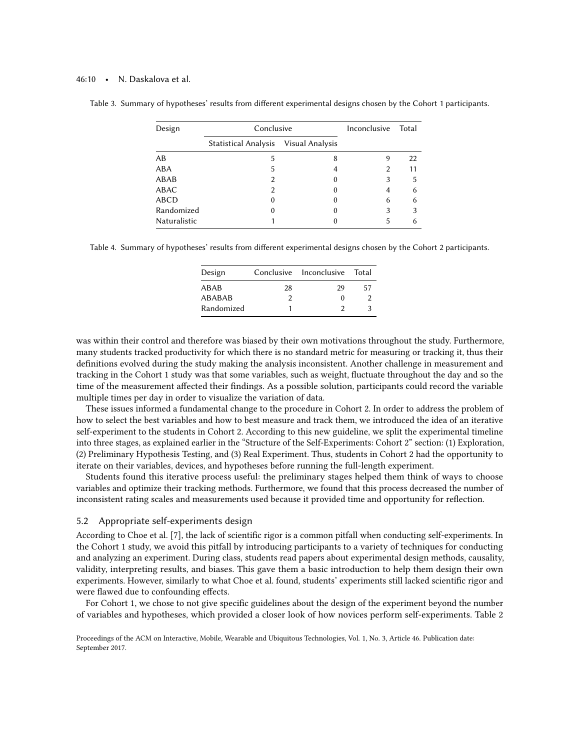#### 46:10 • N. Daskalova et al.

| Design       | Conclusive                           | Inconclusive | Total |    |
|--------------|--------------------------------------|--------------|-------|----|
|              | Statistical Analysis Visual Analysis |              |       |    |
| AB           | 5                                    | 8            | 9     | 22 |
| ABA          | 5                                    |              |       | 11 |
| ABAB         |                                      | 0            | 3     | 5  |
| ABAC         |                                      | $\theta$     | 4     | 6  |
| ABCD         |                                      | $\theta$     | 6     | 6  |
| Randomized   | 0                                    | 0            | 3     | 3  |
| Naturalistic |                                      |              | 5     | 6  |

<span id="page-9-0"></span>Table 3. Summary of hypotheses' results from different experimental designs chosen by the Cohort 1 participants.

<span id="page-9-1"></span>Table 4. Summary of hypotheses' results from different experimental designs chosen by the Cohort 2 participants.

| Design     |    | Conclusive Inconclusive | Total |
|------------|----|-------------------------|-------|
| ABAB       | 28 | 29                      | 57    |
| ABABAB     |    |                         |       |
| Randomized |    |                         |       |

was within their control and therefore was biased by their own motivations throughout the study. Furthermore, many students tracked productivity for which there is no standard metric for measuring or tracking it, thus their definitions evolved during the study making the analysis inconsistent. Another challenge in measurement and tracking in the Cohort 1 study was that some variables, such as weight, fluctuate throughout the day and so the time of the measurement affected their findings. As a possible solution, participants could record the variable multiple times per day in order to visualize the variation of data.

These issues informed a fundamental change to the procedure in Cohort 2. In order to address the problem of how to select the best variables and how to best measure and track them, we introduced the idea of an iterative self-experiment to the students in Cohort 2. According to this new guideline, we split the experimental timeline into three stages, as explained earlier in the "Structure of the Self-Experiments: Cohort 2" section: (1) Exploration, (2) Preliminary Hypothesis Testing, and (3) Real Experiment. Thus, students in Cohort 2 had the opportunity to iterate on their variables, devices, and hypotheses before running the full-length experiment.

Students found this iterative process useful: the preliminary stages helped them think of ways to choose variables and optimize their tracking methods. Furthermore, we found that this process decreased the number of inconsistent rating scales and measurements used because it provided time and opportunity for reflection.

#### 5.2 Appropriate self-experiments design

According to Choe et al. [\[7\]](#page-20-2), the lack of scientific rigor is a common pitfall when conducting self-experiments. In the Cohort 1 study, we avoid this pitfall by introducing participants to a variety of techniques for conducting and analyzing an experiment. During class, students read papers about experimental design methods, causality, validity, interpreting results, and biases. This gave them a basic introduction to help them design their own experiments. However, similarly to what Choe et al. found, students' experiments still lacked scientific rigor and were flawed due to confounding effects.

For Cohort 1, we chose to not give specific guidelines about the design of the experiment beyond the number of variables and hypotheses, which provided a closer look of how novices perform self-experiments. Table [2](#page-7-0)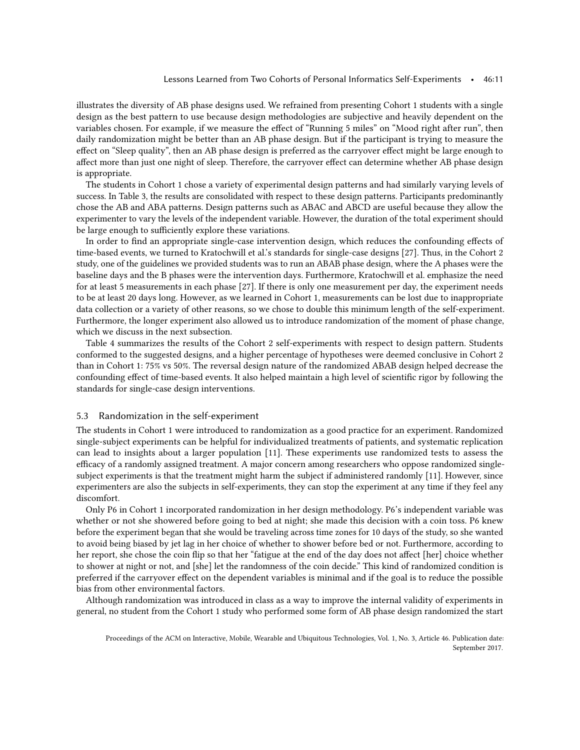illustrates the diversity of AB phase designs used. We refrained from presenting Cohort 1 students with a single design as the best pattern to use because design methodologies are subjective and heavily dependent on the variables chosen. For example, if we measure the effect of "Running 5 miles" on "Mood right after run", then daily randomization might be better than an AB phase design. But if the participant is trying to measure the effect on "Sleep quality", then an AB phase design is preferred as the carryover effect might be large enough to affect more than just one night of sleep. Therefore, the carryover effect can determine whether AB phase design is appropriate.

The students in Cohort 1 chose a variety of experimental design patterns and had similarly varying levels of success. In Table [3,](#page-9-0) the results are consolidated with respect to these design patterns. Participants predominantly chose the AB and ABA patterns. Design patterns such as ABAC and ABCD are useful because they allow the experimenter to vary the levels of the independent variable. However, the duration of the total experiment should be large enough to sufficiently explore these variations.

In order to find an appropriate single-case intervention design, which reduces the confounding effects of time-based events, we turned to Kratochwill et al.'s standards for single-case designs [\[27\]](#page-21-10). Thus, in the Cohort 2 study, one of the guidelines we provided students was to run an ABAB phase design, where the A phases were the baseline days and the B phases were the intervention days. Furthermore, Kratochwill et al. emphasize the need for at least 5 measurements in each phase [\[27\]](#page-21-10). If there is only one measurement per day, the experiment needs to be at least 20 days long. However, as we learned in Cohort 1, measurements can be lost due to inappropriate data collection or a variety of other reasons, so we chose to double this minimum length of the self-experiment. Furthermore, the longer experiment also allowed us to introduce randomization of the moment of phase change, which we discuss in the next subsection.

Table [4](#page-9-1) summarizes the results of the Cohort 2 self-experiments with respect to design pattern. Students conformed to the suggested designs, and a higher percentage of hypotheses were deemed conclusive in Cohort 2 than in Cohort 1: 75% vs 50%. The reversal design nature of the randomized ABAB design helped decrease the confounding effect of time-based events. It also helped maintain a high level of scientific rigor by following the standards for single-case design interventions.

### 5.3 Randomization in the self-experiment

The students in Cohort 1 were introduced to randomization as a good practice for an experiment. Randomized single-subject experiments can be helpful for individualized treatments of patients, and systematic replication can lead to insights about a larger population [\[11\]](#page-20-14). These experiments use randomized tests to assess the efficacy of a randomly assigned treatment. A major concern among researchers who oppose randomized singlesubject experiments is that the treatment might harm the subject if administered randomly [\[11\]](#page-20-14). However, since experimenters are also the subjects in self-experiments, they can stop the experiment at any time if they feel any discomfort.

Only P6 in Cohort 1 incorporated randomization in her design methodology. P6's independent variable was whether or not she showered before going to bed at night; she made this decision with a coin toss. P6 knew before the experiment began that she would be traveling across time zones for 10 days of the study, so she wanted to avoid being biased by jet lag in her choice of whether to shower before bed or not. Furthermore, according to her report, she chose the coin flip so that her "fatigue at the end of the day does not affect [her] choice whether to shower at night or not, and [she] let the randomness of the coin decide." This kind of randomized condition is preferred if the carryover effect on the dependent variables is minimal and if the goal is to reduce the possible bias from other environmental factors.

Although randomization was introduced in class as a way to improve the internal validity of experiments in general, no student from the Cohort 1 study who performed some form of AB phase design randomized the start

Proceedings of the ACM on Interactive, Mobile, Wearable and Ubiquitous Technologies, Vol. 1, No. 3, Article 46. Publication date: September 2017.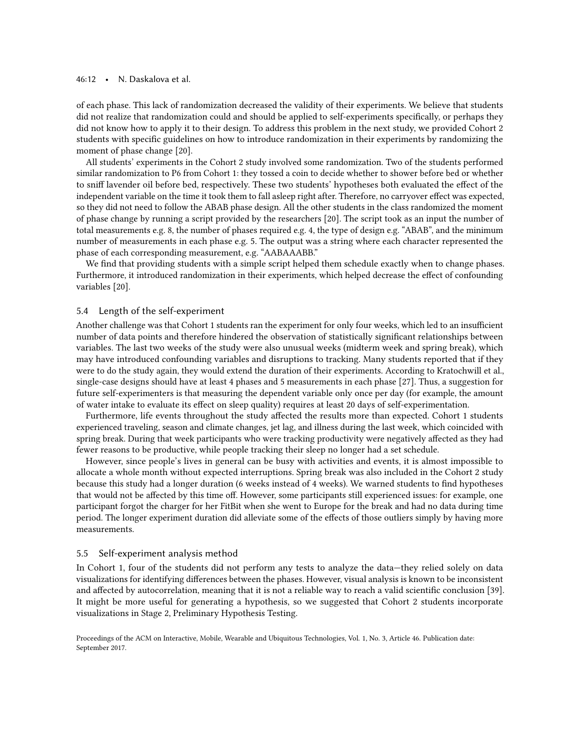#### 46:12 • N. Daskalova et al.

of each phase. This lack of randomization decreased the validity of their experiments. We believe that students did not realize that randomization could and should be applied to self-experiments specifically, or perhaps they did not know how to apply it to their design. To address this problem in the next study, we provided Cohort 2 students with specific guidelines on how to introduce randomization in their experiments by randomizing the moment of phase change [\[20\]](#page-20-15).

All students' experiments in the Cohort 2 study involved some randomization. Two of the students performed similar randomization to P6 from Cohort 1: they tossed a coin to decide whether to shower before bed or whether to sniff lavender oil before bed, respectively. These two students' hypotheses both evaluated the effect of the independent variable on the time it took them to fall asleep right after. Therefore, no carryover effect was expected, so they did not need to follow the ABAB phase design. All the other students in the class randomized the moment of phase change by running a script provided by the researchers [\[20\]](#page-20-15). The script took as an input the number of total measurements e.g. 8, the number of phases required e.g. 4, the type of design e.g. "ABAB", and the minimum number of measurements in each phase e.g. 5. The output was a string where each character represented the phase of each corresponding measurement, e.g. "AABAAABB."

We find that providing students with a simple script helped them schedule exactly when to change phases. Furthermore, it introduced randomization in their experiments, which helped decrease the effect of confounding variables [\[20\]](#page-20-15).

#### 5.4 Length of the self-experiment

Another challenge was that Cohort 1 students ran the experiment for only four weeks, which led to an insufficient number of data points and therefore hindered the observation of statistically significant relationships between variables. The last two weeks of the study were also unusual weeks (midterm week and spring break), which may have introduced confounding variables and disruptions to tracking. Many students reported that if they were to do the study again, they would extend the duration of their experiments. According to Kratochwill et al., single-case designs should have at least 4 phases and 5 measurements in each phase [\[27\]](#page-21-10). Thus, a suggestion for future self-experimenters is that measuring the dependent variable only once per day (for example, the amount of water intake to evaluate its effect on sleep quality) requires at least 20 days of self-experimentation.

Furthermore, life events throughout the study affected the results more than expected. Cohort 1 students experienced traveling, season and climate changes, jet lag, and illness during the last week, which coincided with spring break. During that week participants who were tracking productivity were negatively affected as they had fewer reasons to be productive, while people tracking their sleep no longer had a set schedule.

However, since people's lives in general can be busy with activities and events, it is almost impossible to allocate a whole month without expected interruptions. Spring break was also included in the Cohort 2 study because this study had a longer duration (6 weeks instead of 4 weeks). We warned students to find hypotheses that would not be affected by this time off. However, some participants still experienced issues: for example, one participant forgot the charger for her FitBit when she went to Europe for the break and had no data during time period. The longer experiment duration did alleviate some of the effects of those outliers simply by having more measurements.

#### 5.5 Self-experiment analysis method

In Cohort 1, four of the students did not perform any tests to analyze the data—they relied solely on data visualizations for identifying differences between the phases. However, visual analysis is known to be inconsistent and affected by autocorrelation, meaning that it is not a reliable way to reach a valid scientific conclusion [\[39\]](#page-21-12). It might be more useful for generating a hypothesis, so we suggested that Cohort 2 students incorporate visualizations in Stage 2, Preliminary Hypothesis Testing.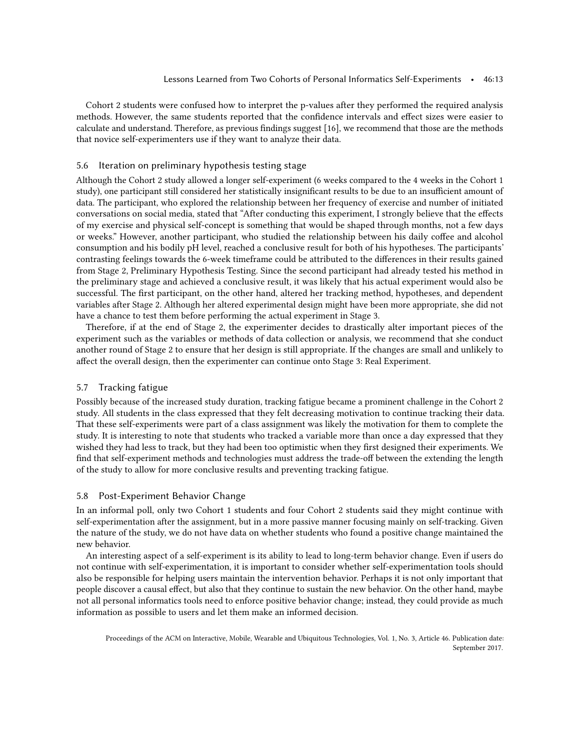Cohort 2 students were confused how to interpret the p-values after they performed the required analysis methods. However, the same students reported that the confidence intervals and effect sizes were easier to calculate and understand. Therefore, as previous findings suggest [\[16\]](#page-20-16), we recommend that those are the methods that novice self-experimenters use if they want to analyze their data.

#### 5.6 Iteration on preliminary hypothesis testing stage

Although the Cohort 2 study allowed a longer self-experiment (6 weeks compared to the 4 weeks in the Cohort 1 study), one participant still considered her statistically insignificant results to be due to an insufficient amount of data. The participant, who explored the relationship between her frequency of exercise and number of initiated conversations on social media, stated that "After conducting this experiment, I strongly believe that the effects of my exercise and physical self-concept is something that would be shaped through months, not a few days or weeks." However, another participant, who studied the relationship between his daily coffee and alcohol consumption and his bodily pH level, reached a conclusive result for both of his hypotheses. The participants' contrasting feelings towards the 6-week timeframe could be attributed to the differences in their results gained from Stage 2, Preliminary Hypothesis Testing. Since the second participant had already tested his method in the preliminary stage and achieved a conclusive result, it was likely that his actual experiment would also be successful. The first participant, on the other hand, altered her tracking method, hypotheses, and dependent variables after Stage 2. Although her altered experimental design might have been more appropriate, she did not have a chance to test them before performing the actual experiment in Stage 3.

Therefore, if at the end of Stage 2, the experimenter decides to drastically alter important pieces of the experiment such as the variables or methods of data collection or analysis, we recommend that she conduct another round of Stage 2 to ensure that her design is still appropriate. If the changes are small and unlikely to affect the overall design, then the experimenter can continue onto Stage 3: Real Experiment.

#### 5.7 Tracking fatigue

Possibly because of the increased study duration, tracking fatigue became a prominent challenge in the Cohort 2 study. All students in the class expressed that they felt decreasing motivation to continue tracking their data. That these self-experiments were part of a class assignment was likely the motivation for them to complete the study. It is interesting to note that students who tracked a variable more than once a day expressed that they wished they had less to track, but they had been too optimistic when they first designed their experiments. We find that self-experiment methods and technologies must address the trade-off between the extending the length of the study to allow for more conclusive results and preventing tracking fatigue.

#### 5.8 Post-Experiment Behavior Change

In an informal poll, only two Cohort 1 students and four Cohort 2 students said they might continue with self-experimentation after the assignment, but in a more passive manner focusing mainly on self-tracking. Given the nature of the study, we do not have data on whether students who found a positive change maintained the new behavior.

An interesting aspect of a self-experiment is its ability to lead to long-term behavior change. Even if users do not continue with self-experimentation, it is important to consider whether self-experimentation tools should also be responsible for helping users maintain the intervention behavior. Perhaps it is not only important that people discover a causal effect, but also that they continue to sustain the new behavior. On the other hand, maybe not all personal informatics tools need to enforce positive behavior change; instead, they could provide as much information as possible to users and let them make an informed decision.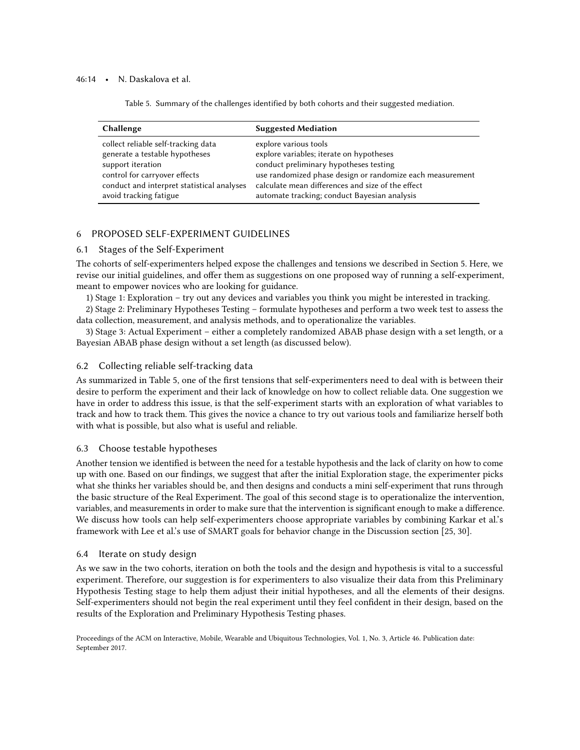#### <span id="page-13-0"></span>46:14 • N. Daskalova et al.

Table 5. Summary of the challenges identified by both cohorts and their suggested mediation.

| Challenge                                  | <b>Suggested Mediation</b>                                |
|--------------------------------------------|-----------------------------------------------------------|
| collect reliable self-tracking data        | explore various tools                                     |
| generate a testable hypotheses             | explore variables; iterate on hypotheses                  |
| support iteration                          | conduct preliminary hypotheses testing                    |
| control for carryover effects              | use randomized phase design or randomize each measurement |
| conduct and interpret statistical analyses | calculate mean differences and size of the effect         |
| avoid tracking fatigue                     | automate tracking; conduct Bayesian analysis              |

## 6 PROPOSED SELF-EXPERIMENT GUIDELINES

## 6.1 Stages of the Self-Experiment

The cohorts of self-experimenters helped expose the challenges and tensions we described in Section [5.](#page-8-0) Here, we revise our initial guidelines, and offer them as suggestions on one proposed way of running a self-experiment, meant to empower novices who are looking for guidance.

1) Stage 1: Exploration – try out any devices and variables you think you might be interested in tracking.

2) Stage 2: Preliminary Hypotheses Testing – formulate hypotheses and perform a two week test to assess the data collection, measurement, and analysis methods, and to operationalize the variables.

3) Stage 3: Actual Experiment – either a completely randomized ABAB phase design with a set length, or a Bayesian ABAB phase design without a set length (as discussed below).

## 6.2 Collecting reliable self-tracking data

As summarized in Table [5,](#page-13-0) one of the first tensions that self-experimenters need to deal with is between their desire to perform the experiment and their lack of knowledge on how to collect reliable data. One suggestion we have in order to address this issue, is that the self-experiment starts with an exploration of what variables to track and how to track them. This gives the novice a chance to try out various tools and familiarize herself both with what is possible, but also what is useful and reliable.

## 6.3 Choose testable hypotheses

Another tension we identified is between the need for a testable hypothesis and the lack of clarity on how to come up with one. Based on our findings, we suggest that after the initial Exploration stage, the experimenter picks what she thinks her variables should be, and then designs and conducts a mini self-experiment that runs through the basic structure of the Real Experiment. The goal of this second stage is to operationalize the intervention, variables, and measurements in order to make sure that the intervention is significant enough to make a difference. We discuss how tools can help self-experimenters choose appropriate variables by combining Karkar et al.'s framework with Lee et al.'s use of SMART goals for behavior change in the Discussion section [\[25,](#page-20-10) [30\]](#page-21-3).

### 6.4 Iterate on study design

As we saw in the two cohorts, iteration on both the tools and the design and hypothesis is vital to a successful experiment. Therefore, our suggestion is for experimenters to also visualize their data from this Preliminary Hypothesis Testing stage to help them adjust their initial hypotheses, and all the elements of their designs. Self-experimenters should not begin the real experiment until they feel confident in their design, based on the results of the Exploration and Preliminary Hypothesis Testing phases.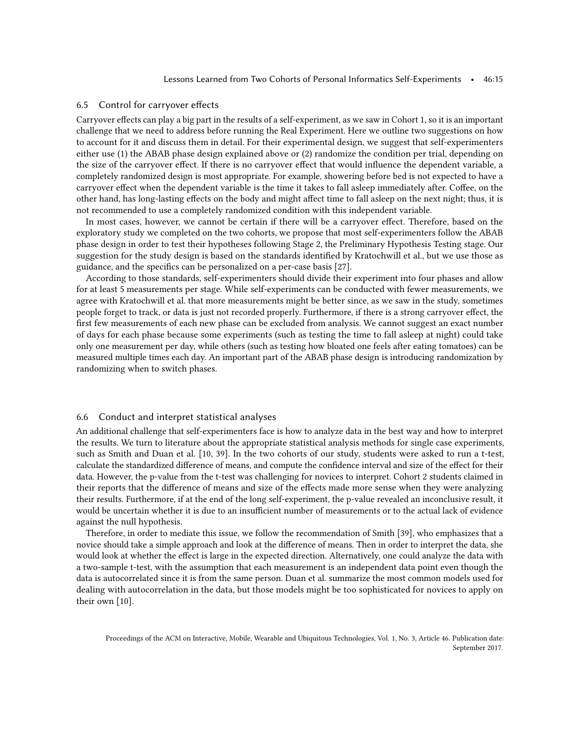#### 6.5 Control for carryover effects

Carryover effects can play a big part in the results of a self-experiment, as we saw in Cohort 1, so it is an important challenge that we need to address before running the Real Experiment. Here we outline two suggestions on how to account for it and discuss them in detail. For their experimental design, we suggest that self-experimenters either use (1) the ABAB phase design explained above or (2) randomize the condition per trial, depending on the size of the carryover effect. If there is no carryover effect that would influence the dependent variable, a completely randomized design is most appropriate. For example, showering before bed is not expected to have a carryover effect when the dependent variable is the time it takes to fall asleep immediately after. Coffee, on the other hand, has long-lasting effects on the body and might affect time to fall asleep on the next night; thus, it is not recommended to use a completely randomized condition with this independent variable.

In most cases, however, we cannot be certain if there will be a carryover effect. Therefore, based on the exploratory study we completed on the two cohorts, we propose that most self-experimenters follow the ABAB phase design in order to test their hypotheses following Stage 2, the Preliminary Hypothesis Testing stage. Our suggestion for the study design is based on the standards identified by Kratochwill et al., but we use those as guidance, and the specifics can be personalized on a per-case basis [\[27\]](#page-21-10).

According to those standards, self-experimenters should divide their experiment into four phases and allow for at least 5 measurements per stage. While self-experiments can be conducted with fewer measurements, we agree with Kratochwill et al. that more measurements might be better since, as we saw in the study, sometimes people forget to track, or data is just not recorded properly. Furthermore, if there is a strong carryover effect, the first few measurements of each new phase can be excluded from analysis. We cannot suggest an exact number of days for each phase because some experiments (such as testing the time to fall asleep at night) could take only one measurement per day, while others (such as testing how bloated one feels after eating tomatoes) can be measured multiple times each day. An important part of the ABAB phase design is introducing randomization by randomizing when to switch phases.

#### <span id="page-14-0"></span>6.6 Conduct and interpret statistical analyses

An additional challenge that self-experimenters face is how to analyze data in the best way and how to interpret the results. We turn to literature about the appropriate statistical analysis methods for single case experiments, such as Smith and Duan et al. [\[10,](#page-20-17) [39\]](#page-21-12). In the two cohorts of our study, students were asked to run a t-test, calculate the standardized difference of means, and compute the confidence interval and size of the effect for their data. However, the p-value from the t-test was challenging for novices to interpret. Cohort 2 students claimed in their reports that the difference of means and size of the effects made more sense when they were analyzing their results. Furthermore, if at the end of the long self-experiment, the p-value revealed an inconclusive result, it would be uncertain whether it is due to an insufficient number of measurements or to the actual lack of evidence against the null hypothesis.

Therefore, in order to mediate this issue, we follow the recommendation of Smith [\[39\]](#page-21-12), who emphasizes that a novice should take a simple approach and look at the difference of means. Then in order to interpret the data, she would look at whether the effect is large in the expected direction. Alternatively, one could analyze the data with a two-sample t-test, with the assumption that each measurement is an independent data point even though the data is autocorrelated since it is from the same person. Duan et al. summarize the most common models used for dealing with autocorrelation in the data, but those models might be too sophisticated for novices to apply on their own [\[10\]](#page-20-17).

Proceedings of the ACM on Interactive, Mobile, Wearable and Ubiquitous Technologies, Vol. 1, No. 3, Article 46. Publication date: September 2017.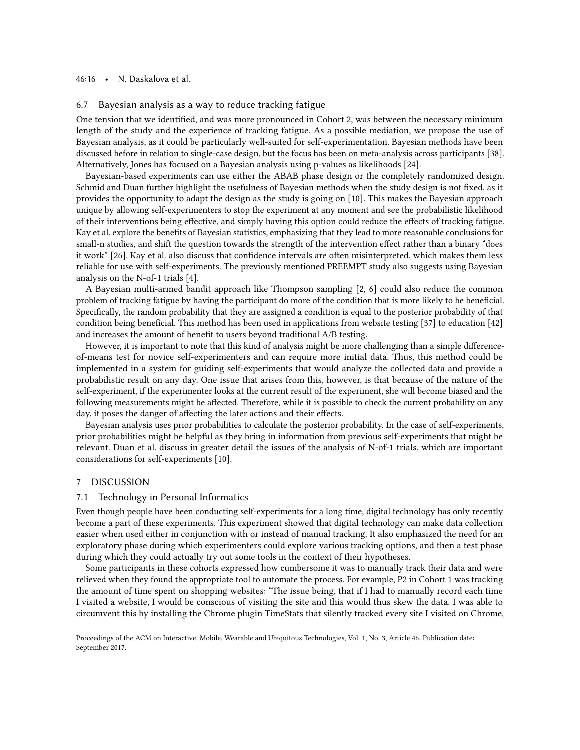#### 46:16 • N. Daskalova et al.

### 6.7 Bayesian analysis as a way to reduce tracking fatigue

One tension that we identified, and was more pronounced in Cohort 2, was between the necessary minimum length of the study and the experience of tracking fatigue. As a possible mediation, we propose the use of Bayesian analysis, as it could be particularly well-suited for self-experimentation. Bayesian methods have been discussed before in relation to single-case design, but the focus has been on meta-analysis across participants [\[38\]](#page-21-13). Alternatively, Jones has focused on a Bayesian analysis using p-values as likelihoods [\[24\]](#page-20-18).

Bayesian-based experiments can use either the ABAB phase design or the completely randomized design. Schmid and Duan further highlight the usefulness of Bayesian methods when the study design is not fixed, as it provides the opportunity to adapt the design as the study is going on [\[10\]](#page-20-17). This makes the Bayesian approach unique by allowing self-experimenters to stop the experiment at any moment and see the probabilistic likelihood of their interventions being effective, and simply having this option could reduce the effects of tracking fatigue. Kay et al. explore the benefits of Bayesian statistics, emphasizing that they lead to more reasonable conclusions for small-n studies, and shift the question towards the strength of the intervention effect rather than a binary "does it work" [\[26\]](#page-21-14). Kay et al. also discuss that confidence intervals are often misinterpreted, which makes them less reliable for use with self-experiments. The previously mentioned PREEMPT study also suggests using Bayesian analysis on the N-of-1 trials [\[4\]](#page-20-19).

A Bayesian multi-armed bandit approach like Thompson sampling [\[2,](#page-20-20) [6\]](#page-20-21) could also reduce the common problem of tracking fatigue by having the participant do more of the condition that is more likely to be beneficial. Specifically, the random probability that they are assigned a condition is equal to the posterior probability of that condition being beneficial. This method has been used in applications from website testing [\[37\]](#page-21-15) to education [\[42\]](#page-21-16) and increases the amount of benefit to users beyond traditional A/B testing.

However, it is important to note that this kind of analysis might be more challenging than a simple differenceof-means test for novice self-experimenters and can require more initial data. Thus, this method could be implemented in a system for guiding self-experiments that would analyze the collected data and provide a probabilistic result on any day. One issue that arises from this, however, is that because of the nature of the self-experiment, if the experimenter looks at the current result of the experiment, she will become biased and the following measurements might be affected. Therefore, while it is possible to check the current probability on any day, it poses the danger of affecting the later actions and their effects.

Bayesian analysis uses prior probabilities to calculate the posterior probability. In the case of self-experiments, prior probabilities might be helpful as they bring in information from previous self-experiments that might be relevant. Duan et al. discuss in greater detail the issues of the analysis of N-of-1 trials, which are important considerations for self-experiments [\[10\]](#page-20-17).

#### 7 DISCUSSION

#### 7.1 Technology in Personal Informatics

Even though people have been conducting self-experiments for a long time, digital technology has only recently become a part of these experiments. This experiment showed that digital technology can make data collection easier when used either in conjunction with or instead of manual tracking. It also emphasized the need for an exploratory phase during which experimenters could explore various tracking options, and then a test phase during which they could actually try out some tools in the context of their hypotheses.

Some participants in these cohorts expressed how cumbersome it was to manually track their data and were relieved when they found the appropriate tool to automate the process. For example, P2 in Cohort 1 was tracking the amount of time spent on shopping websites: "The issue being, that if I had to manually record each time I visited a website, I would be conscious of visiting the site and this would thus skew the data. I was able to circumvent this by installing the Chrome plugin TimeStats that silently tracked every site I visited on Chrome,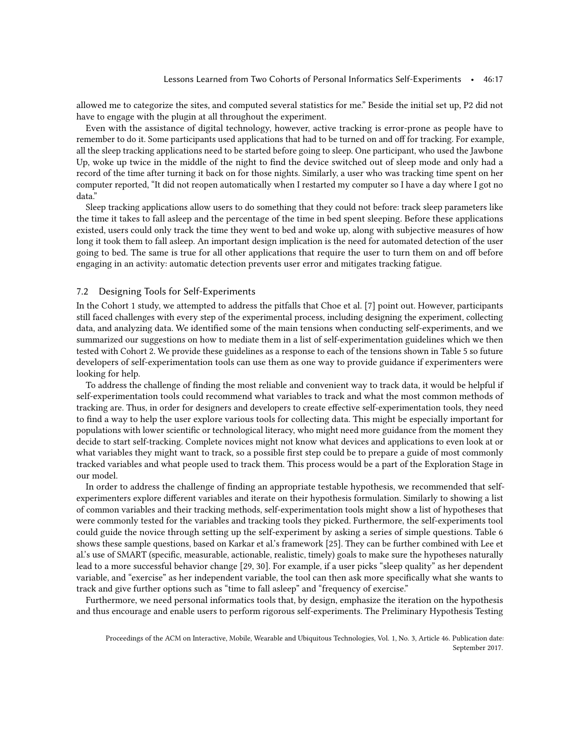allowed me to categorize the sites, and computed several statistics for me." Beside the initial set up, P2 did not have to engage with the plugin at all throughout the experiment.

Even with the assistance of digital technology, however, active tracking is error-prone as people have to remember to do it. Some participants used applications that had to be turned on and off for tracking. For example, all the sleep tracking applications need to be started before going to sleep. One participant, who used the Jawbone Up, woke up twice in the middle of the night to find the device switched out of sleep mode and only had a record of the time after turning it back on for those nights. Similarly, a user who was tracking time spent on her computer reported, "It did not reopen automatically when I restarted my computer so I have a day where I got no data."

Sleep tracking applications allow users to do something that they could not before: track sleep parameters like the time it takes to fall asleep and the percentage of the time in bed spent sleeping. Before these applications existed, users could only track the time they went to bed and woke up, along with subjective measures of how long it took them to fall asleep. An important design implication is the need for automated detection of the user going to bed. The same is true for all other applications that require the user to turn them on and off before engaging in an activity: automatic detection prevents user error and mitigates tracking fatigue.

#### 7.2 Designing Tools for Self-Experiments

In the Cohort 1 study, we attempted to address the pitfalls that Choe et al. [\[7\]](#page-20-2) point out. However, participants still faced challenges with every step of the experimental process, including designing the experiment, collecting data, and analyzing data. We identified some of the main tensions when conducting self-experiments, and we summarized our suggestions on how to mediate them in a list of self-experimentation guidelines which we then tested with Cohort 2. We provide these guidelines as a response to each of the tensions shown in Table [5](#page-13-0) so future developers of self-experimentation tools can use them as one way to provide guidance if experimenters were looking for help.

To address the challenge of finding the most reliable and convenient way to track data, it would be helpful if self-experimentation tools could recommend what variables to track and what the most common methods of tracking are. Thus, in order for designers and developers to create effective self-experimentation tools, they need to find a way to help the user explore various tools for collecting data. This might be especially important for populations with lower scientific or technological literacy, who might need more guidance from the moment they decide to start self-tracking. Complete novices might not know what devices and applications to even look at or what variables they might want to track, so a possible first step could be to prepare a guide of most commonly tracked variables and what people used to track them. This process would be a part of the Exploration Stage in our model.

In order to address the challenge of finding an appropriate testable hypothesis, we recommended that selfexperimenters explore different variables and iterate on their hypothesis formulation. Similarly to showing a list of common variables and their tracking methods, self-experimentation tools might show a list of hypotheses that were commonly tested for the variables and tracking tools they picked. Furthermore, the self-experiments tool could guide the novice through setting up the self-experiment by asking a series of simple questions. Table [6](#page-17-0) shows these sample questions, based on Karkar et al.'s framework [\[25\]](#page-20-10). They can be further combined with Lee et al.'s use of SMART (specific, measurable, actionable, realistic, timely) goals to make sure the hypotheses naturally lead to a more successful behavior change [\[29,](#page-21-17) [30\]](#page-21-3). For example, if a user picks "sleep quality" as her dependent variable, and "exercise" as her independent variable, the tool can then ask more specifically what she wants to track and give further options such as "time to fall asleep" and "frequency of exercise."

Furthermore, we need personal informatics tools that, by design, emphasize the iteration on the hypothesis and thus encourage and enable users to perform rigorous self-experiments. The Preliminary Hypothesis Testing

Proceedings of the ACM on Interactive, Mobile, Wearable and Ubiquitous Technologies, Vol. 1, No. 3, Article 46. Publication date: September 2017.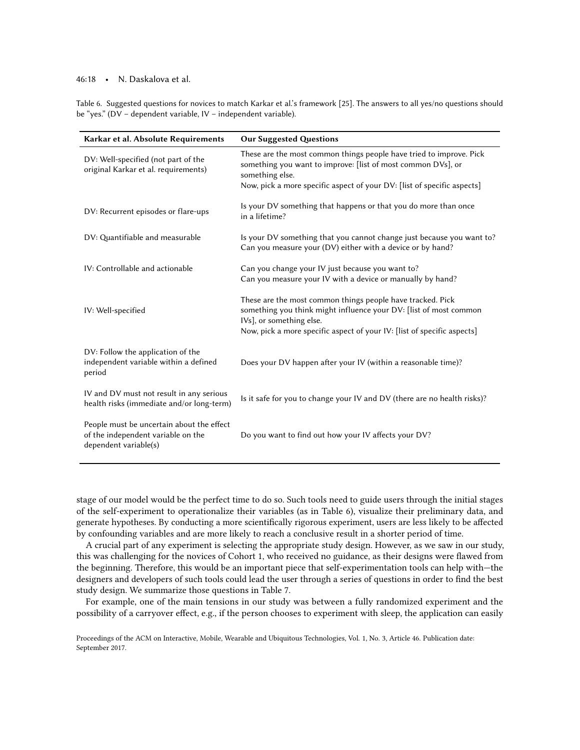#### 46:18 • N. Daskalova et al.

<span id="page-17-0"></span>Table 6. Suggested questions for novices to match Karkar et al.'s framework [\[25\]](#page-20-10). The answers to all yes/no questions should be "yes." (DV – dependent variable, IV – independent variable).

| Karkar et al. Absolute Requirements                                                                      | <b>Our Suggested Questions</b>                                                                                                                                                                                                         |
|----------------------------------------------------------------------------------------------------------|----------------------------------------------------------------------------------------------------------------------------------------------------------------------------------------------------------------------------------------|
| DV: Well-specified (not part of the<br>original Karkar et al. requirements)                              | These are the most common things people have tried to improve. Pick<br>something you want to improve: [list of most common DVs], or<br>something else.<br>Now, pick a more specific aspect of your DV: [list of specific aspects]      |
|                                                                                                          |                                                                                                                                                                                                                                        |
| DV: Recurrent episodes or flare-ups                                                                      | Is your DV something that happens or that you do more than once<br>in a lifetime?                                                                                                                                                      |
| DV: Quantifiable and measurable                                                                          | Is your DV something that you cannot change just because you want to?<br>Can you measure your (DV) either with a device or by hand?                                                                                                    |
| IV: Controllable and actionable                                                                          | Can you change your IV just because you want to?<br>Can you measure your IV with a device or manually by hand?                                                                                                                         |
| IV: Well-specified                                                                                       | These are the most common things people have tracked. Pick<br>something you think might influence your DV: [list of most common<br>IVs], or something else.<br>Now, pick a more specific aspect of your IV: [list of specific aspects] |
| DV: Follow the application of the<br>independent variable within a defined<br>period                     | Does your DV happen after your IV (within a reasonable time)?                                                                                                                                                                          |
| IV and DV must not result in any serious<br>health risks (immediate and/or long-term)                    | Is it safe for you to change your IV and DV (there are no health risks)?                                                                                                                                                               |
| People must be uncertain about the effect<br>of the independent variable on the<br>dependent variable(s) | Do you want to find out how your IV affects your DV?                                                                                                                                                                                   |

stage of our model would be the perfect time to do so. Such tools need to guide users through the initial stages of the self-experiment to operationalize their variables (as in Table [6\)](#page-17-0), visualize their preliminary data, and generate hypotheses. By conducting a more scientifically rigorous experiment, users are less likely to be affected by confounding variables and are more likely to reach a conclusive result in a shorter period of time.

A crucial part of any experiment is selecting the appropriate study design. However, as we saw in our study, this was challenging for the novices of Cohort 1, who received no guidance, as their designs were flawed from the beginning. Therefore, this would be an important piece that self-experimentation tools can help with—the designers and developers of such tools could lead the user through a series of questions in order to find the best study design. We summarize those questions in Table [7.](#page-18-0)

For example, one of the main tensions in our study was between a fully randomized experiment and the possibility of a carryover effect, e.g., if the person chooses to experiment with sleep, the application can easily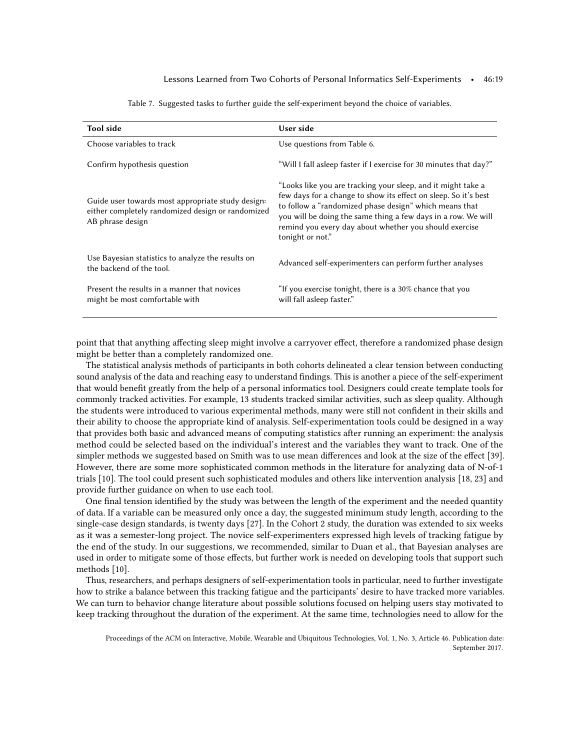<span id="page-18-0"></span>

| <b>Tool</b> side                                                                                                           | User side                                                                                                                                                                                                                                                                                                                                |
|----------------------------------------------------------------------------------------------------------------------------|------------------------------------------------------------------------------------------------------------------------------------------------------------------------------------------------------------------------------------------------------------------------------------------------------------------------------------------|
| Choose variables to track                                                                                                  | Use questions from Table 6.                                                                                                                                                                                                                                                                                                              |
| Confirm hypothesis question                                                                                                | "Will I fall asleep faster if I exercise for 30 minutes that day?"                                                                                                                                                                                                                                                                       |
| Guide user towards most appropriate study design:<br>either completely randomized design or randomized<br>AB phrase design | "Looks like you are tracking your sleep, and it might take a<br>few days for a change to show its effect on sleep. So it's best<br>to follow a "randomized phase design" which means that<br>you will be doing the same thing a few days in a row. We will<br>remind you every day about whether you should exercise<br>tonight or not." |
| Use Bayesian statistics to analyze the results on<br>the backend of the tool.                                              | Advanced self-experimenters can perform further analyses                                                                                                                                                                                                                                                                                 |
| Present the results in a manner that novices<br>might be most comfortable with                                             | "If you exercise tonight, there is a 30% chance that you<br>will fall asleep faster."                                                                                                                                                                                                                                                    |

Table 7. Suggested tasks to further guide the self-experiment beyond the choice of variables.

point that that anything affecting sleep might involve a carryover effect, therefore a randomized phase design might be better than a completely randomized one.

The statistical analysis methods of participants in both cohorts delineated a clear tension between conducting sound analysis of the data and reaching easy to understand findings. This is another a piece of the self-experiment that would benefit greatly from the help of a personal informatics tool. Designers could create template tools for commonly tracked activities. For example, 13 students tracked similar activities, such as sleep quality. Although the students were introduced to various experimental methods, many were still not confident in their skills and their ability to choose the appropriate kind of analysis. Self-experimentation tools could be designed in a way that provides both basic and advanced means of computing statistics after running an experiment: the analysis method could be selected based on the individual's interest and the variables they want to track. One of the simpler methods we suggested based on Smith was to use mean differences and look at the size of the effect [\[39\]](#page-21-12). However, there are some more sophisticated common methods in the literature for analyzing data of N-of-1 trials [\[10\]](#page-20-17). The tool could present such sophisticated modules and others like intervention analysis [\[18,](#page-20-22) [23\]](#page-20-23) and provide further guidance on when to use each tool.

One final tension identified by the study was between the length of the experiment and the needed quantity of data. If a variable can be measured only once a day, the suggested minimum study length, according to the single-case design standards, is twenty days [\[27\]](#page-21-10). In the Cohort 2 study, the duration was extended to six weeks as it was a semester-long project. The novice self-experimenters expressed high levels of tracking fatigue by the end of the study. In our suggestions, we recommended, similar to Duan et al., that Bayesian analyses are used in order to mitigate some of those effects, but further work is needed on developing tools that support such methods [\[10\]](#page-20-17).

Thus, researchers, and perhaps designers of self-experimentation tools in particular, need to further investigate how to strike a balance between this tracking fatigue and the participants' desire to have tracked more variables. We can turn to behavior change literature about possible solutions focused on helping users stay motivated to keep tracking throughout the duration of the experiment. At the same time, technologies need to allow for the

Proceedings of the ACM on Interactive, Mobile, Wearable and Ubiquitous Technologies, Vol. 1, No. 3, Article 46. Publication date: September 2017.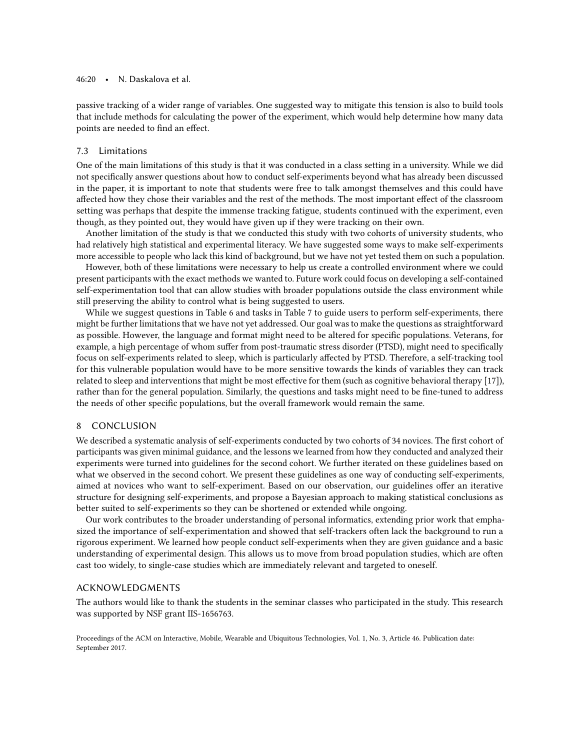#### 46:20 • N. Daskalova et al.

passive tracking of a wider range of variables. One suggested way to mitigate this tension is also to build tools that include methods for calculating the power of the experiment, which would help determine how many data points are needed to find an effect.

## 7.3 Limitations

One of the main limitations of this study is that it was conducted in a class setting in a university. While we did not specifically answer questions about how to conduct self-experiments beyond what has already been discussed in the paper, it is important to note that students were free to talk amongst themselves and this could have affected how they chose their variables and the rest of the methods. The most important effect of the classroom setting was perhaps that despite the immense tracking fatigue, students continued with the experiment, even though, as they pointed out, they would have given up if they were tracking on their own.

Another limitation of the study is that we conducted this study with two cohorts of university students, who had relatively high statistical and experimental literacy. We have suggested some ways to make self-experiments more accessible to people who lack this kind of background, but we have not yet tested them on such a population.

However, both of these limitations were necessary to help us create a controlled environment where we could present participants with the exact methods we wanted to. Future work could focus on developing a self-contained self-experimentation tool that can allow studies with broader populations outside the class environment while still preserving the ability to control what is being suggested to users.

While we suggest questions in Table 6 and tasks in Table 7 to guide users to perform self-experiments, there might be further limitations that we have not yet addressed. Our goal was to make the questions as straightforward as possible. However, the language and format might need to be altered for specific populations. Veterans, for example, a high percentage of whom suffer from post-traumatic stress disorder (PTSD), might need to specifically focus on self-experiments related to sleep, which is particularly affected by PTSD. Therefore, a self-tracking tool for this vulnerable population would have to be more sensitive towards the kinds of variables they can track related to sleep and interventions that might be most effective for them (such as cognitive behavioral therapy [\[17\]](#page-20-24)), rather than for the general population. Similarly, the questions and tasks might need to be fine-tuned to address the needs of other specific populations, but the overall framework would remain the same.

### 8 CONCLUSION

We described a systematic analysis of self-experiments conducted by two cohorts of 34 novices. The first cohort of participants was given minimal guidance, and the lessons we learned from how they conducted and analyzed their experiments were turned into guidelines for the second cohort. We further iterated on these guidelines based on what we observed in the second cohort. We present these guidelines as one way of conducting self-experiments, aimed at novices who want to self-experiment. Based on our observation, our guidelines offer an iterative structure for designing self-experiments, and propose a Bayesian approach to making statistical conclusions as better suited to self-experiments so they can be shortened or extended while ongoing.

Our work contributes to the broader understanding of personal informatics, extending prior work that emphasized the importance of self-experimentation and showed that self-trackers often lack the background to run a rigorous experiment. We learned how people conduct self-experiments when they are given guidance and a basic understanding of experimental design. This allows us to move from broad population studies, which are often cast too widely, to single-case studies which are immediately relevant and targeted to oneself.

## ACKNOWLEDGMENTS

The authors would like to thank the students in the seminar classes who participated in the study. This research was supported by NSF grant IIS-1656763.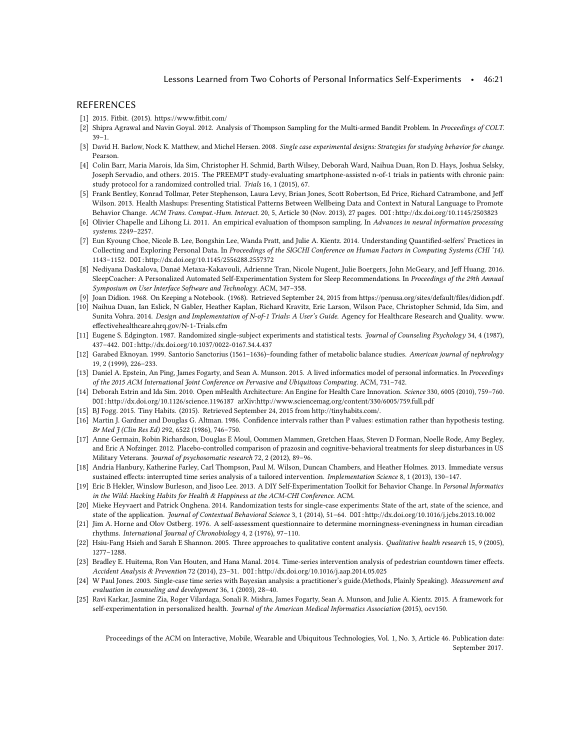#### REFERENCES

- <span id="page-20-6"></span>[1] 2015. Fitbit. (2015).<https://www.fitbit.com/>
- <span id="page-20-20"></span>[2] Shipra Agrawal and Navin Goyal. 2012. Analysis of Thompson Sampling for the Multi-armed Bandit Problem. In Proceedings of COLT. 39–1.
- <span id="page-20-11"></span>[3] David H. Barlow, Nock K. Matthew, and Michel Hersen. 2008. Single case experimental designs: Strategies for studying behavior for change. Pearson.
- <span id="page-20-19"></span>[4] Colin Barr, Maria Marois, Ida Sim, Christopher H. Schmid, Barth Wilsey, Deborah Ward, Naihua Duan, Ron D. Hays, Joshua Selsky, Joseph Servadio, and others. 2015. The PREEMPT study-evaluating smartphone-assisted n-of-1 trials in patients with chronic pain: study protocol for a randomized controlled trial. Trials 16, 1 (2015), 67.
- <span id="page-20-7"></span>[5] Frank Bentley, Konrad Tollmar, Peter Stephenson, Laura Levy, Brian Jones, Scott Robertson, Ed Price, Richard Catrambone, and Jeff Wilson. 2013. Health Mashups: Presenting Statistical Patterns Between Wellbeing Data and Context in Natural Language to Promote Behavior Change. ACM Trans. Comput.-Hum. Interact. 20, 5, Article 30 (Nov. 2013), 27 pages. DOI:<http://dx.doi.org/10.1145/2503823>
- <span id="page-20-21"></span>[6] Olivier Chapelle and Lihong Li. 2011. An empirical evaluation of thompson sampling. In Advances in neural information processing systems. 2249–2257.
- <span id="page-20-2"></span>[7] Eun Kyoung Choe, Nicole B. Lee, Bongshin Lee, Wanda Pratt, and Julie A. Kientz. 2014. Understanding Quantified-selfers' Practices in Collecting and Exploring Personal Data. In Proceedings of the SIGCHI Conference on Human Factors in Computing Systems (CHI '14). 1143–1152. DOI:<http://dx.doi.org/10.1145/2556288.2557372>
- <span id="page-20-12"></span>[8] Nediyana Daskalova, Danaë Metaxa-Kakavouli, Adrienne Tran, Nicole Nugent, Julie Boergers, John McGeary, and Jeff Huang. 2016. SleepCoacher: A Personalized Automated Self-Experimentation System for Sleep Recommendations. In Proceedings of the 29th Annual Symposium on User Interface Software and Technology. ACM, 347–358.
- <span id="page-20-5"></span>[9] Joan Didion. 1968. On Keeping a Notebook. (1968). Retrieved September 24, 2015 from [https://penusa.org/sites/default/files/didion.pdf.](https://penusa.org/sites/default/files/didion.pdf)
- <span id="page-20-17"></span>[10] Naihua Duan, Ian Eslick, N Gabler, Heather Kaplan, Richard Kravitz, Eric Larson, Wilson Pace, Christopher Schmid, Ida Sim, and Sunita Vohra. 2014. Design and Implementation of N-of-1 Trials: A User's Guide. Agency for Healthcare Research and Quality. [www.](www.effectivehealthcare.ahrq.gov/N-1-Trials.cfm) [effectivehealthcare.ahrq.gov/N-1-Trials.cfm](www.effectivehealthcare.ahrq.gov/N-1-Trials.cfm)
- <span id="page-20-14"></span>[11] Eugene S. Edgington. 1987. Randomized single-subject experiments and statistical tests. Journal of Counseling Psychology 34, 4 (1987), 437–442. DOI:<http://dx.doi.org/10.1037/0022-0167.34.4.437>
- <span id="page-20-4"></span>[12] Garabed Eknoyan. 1999. Santorio Sanctorius (1561–1636)–founding father of metabolic balance studies. American journal of nephrology 19, 2 (1999), 226–233.
- <span id="page-20-9"></span>[13] Daniel A. Epstein, An Ping, James Fogarty, and Sean A. Munson. 2015. A lived informatics model of personal informatics. In Proceedings of the 2015 ACM International Joint Conference on Pervasive and Ubiquitous Computing. ACM, 731–742.
- <span id="page-20-0"></span>[14] Deborah Estrin and Ida Sim. 2010. Open mHealth Architecture: An Engine for Health Care Innovation. Science 330, 6005 (2010), 759–760. DOI:<http://dx.doi.org/10.1126/science.1196187> arXiv[:http://www.sciencemag.org/content/330/6005/759.full.pdf](http://arxiv.org/abs/http://www.sciencemag.org/content/330/6005/759.full.pdf)
- <span id="page-20-3"></span>[15] BJ Fogg. 2015. Tiny Habits. (2015). Retrieved September 24, 2015 from [http://tinyhabits.com/.](http://tinyhabits.com/)
- <span id="page-20-16"></span>[16] Martin J. Gardner and Douglas G. Altman. 1986. Confidence intervals rather than P values: estimation rather than hypothesis testing. Br Med J (Clin Res Ed) 292, 6522 (1986), 746–750.
- <span id="page-20-24"></span>[17] Anne Germain, Robin Richardson, Douglas E Moul, Oommen Mammen, Gretchen Haas, Steven D Forman, Noelle Rode, Amy Begley, and Eric A Nofzinger. 2012. Placebo-controlled comparison of prazosin and cognitive-behavioral treatments for sleep disturbances in US Military Veterans. Journal of psychosomatic research 72, 2 (2012), 89–96.
- <span id="page-20-22"></span>[18] Andria Hanbury, Katherine Farley, Carl Thompson, Paul M. Wilson, Duncan Chambers, and Heather Holmes. 2013. Immediate versus sustained effects: interrupted time series analysis of a tailored intervention. Implementation Science 8, 1 (2013), 130–147.
- <span id="page-20-8"></span>[19] Eric B Hekler, Winslow Burleson, and Jisoo Lee. 2013. A DIY Self-Experimentation Toolkit for Behavior Change. In Personal Informatics in the Wild: Hacking Habits for Health & Happiness at the ACM-CHI Conference. ACM.
- <span id="page-20-15"></span>[20] Mieke Heyvaert and Patrick Onghena. 2014. Randomization tests for single-case experiments: State of the art, state of the science, and state of the application. Journal of Contextual Behavioral Science 3, 1 (2014), 51–64. DOI:<http://dx.doi.org/10.1016/j.jcbs.2013.10.002>
- <span id="page-20-1"></span>[21] Jim A. Horne and Olov Ostberg. 1976. A self-assessment questionnaire to determine morningness-eveningness in human circadian rhythms. International Journal of Chronobiology 4, 2 (1976), 97–110.
- <span id="page-20-13"></span>[22] Hsiu-Fang Hsieh and Sarah E Shannon. 2005. Three approaches to qualitative content analysis. Qualitative health research 15, 9 (2005), 1277–1288.
- <span id="page-20-23"></span>[23] Bradley E. Huitema, Ron Van Houten, and Hana Manal. 2014. Time-series intervention analysis of pedestrian countdown timer effects. Accident Analysis & Prevention 72 (2014), 23–31. DOI:<http://dx.doi.org/10.1016/j.aap.2014.05.025>
- <span id="page-20-18"></span>[24] W Paul Jones. 2003. Single-case time series with Bayesian analysis: a practitioner's guide.(Methods, Plainly Speaking). Measurement and evaluation in counseling and development 36, 1 (2003), 28–40.
- <span id="page-20-10"></span>[25] Ravi Karkar, Jasmine Zia, Roger Vilardaga, Sonali R. Mishra, James Fogarty, Sean A. Munson, and Julie A. Kientz. 2015. A framework for self-experimentation in personalized health. Journal of the American Medical Informatics Association (2015), ocv150.